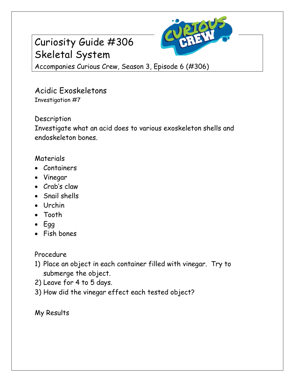

## Curiosity Guide #306 Skeletal System

Accompanies Curious Crew, Season 3, Episode 6 (#306)

Acidic Exoskeletons Investigation #7

Description

Investigate what an acid does to various exoskeleton shells and endoskeleton bones.

## Materials

- Containers
- Vinegar
- Crab's claw
- Snail shells
- Urchin
- Tooth
- $\cdot$  Egg
- Fish bones

Procedure

- 1) Place an object in each container filled with vinegar. Try to submerge the object.
- 2) Leave for 4 to 5 days.
- 3) How did the vinegar effect each tested object?

My Results